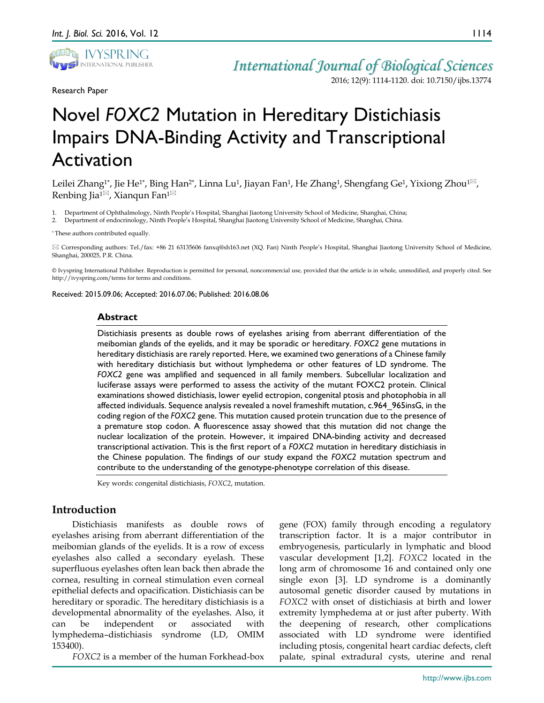

Research Paper

*International Journal of Biological Sciences*

2016; 12(9): 1114-1120. doi: 10.7150/ijbs.13774

# Novel *FOXC2* Mutation in Hereditary Distichiasis Impairs DNA-Binding Activity and Transcriptional Activation

Leilei Zhang<sup>1\*</sup>, Jie He<sup>1\*</sup>, Bing Han<sup>2\*</sup>, Linna Lu<sup>1</sup>, Jiayan Fan<sup>1</sup>, He Zhang<sup>1</sup>, Shengfang Ge<sup>1</sup>, Yixiong Zhou<sup>1 $\boxtimes$ </sup>, Renbing Jia<sup>1 $\boxtimes$ </sup>, Xianqun Fan<sup>1 $\boxtimes$ </sup>

1. Department of Ophthalmology, Ninth People's Hospital, Shanghai Jiaotong University School of Medicine, Shanghai, China;

2. Department of endocrinology, Ninth People's Hospital, Shanghai Jiaotong University School of Medicine, Shanghai, China.

\* These authors contributed equally.

 Corresponding authors: Tel./fax: +86 21 63135606 fanxq@sh163.net (XQ. Fan) Ninth People's Hospital, Shanghai Jiaotong University School of Medicine, Shanghai, 200025, P.R. China.

© Ivyspring International Publisher. Reproduction is permitted for personal, noncommercial use, provided that the article is in whole, unmodified, and properly cited. See http://ivyspring.com/terms for terms and conditions.

Received: 2015.09.06; Accepted: 2016.07.06; Published: 2016.08.06

#### **Abstract**

Distichiasis presents as double rows of eyelashes arising from aberrant differentiation of the meibomian glands of the eyelids, and it may be sporadic or hereditary. *FOXC2* gene mutations in hereditary distichiasis are rarely reported. Here, we examined two generations of a Chinese family with hereditary distichiasis but without lymphedema or other features of LD syndrome. The *FOXC2* gene was amplified and sequenced in all family members. Subcellular localization and luciferase assays were performed to assess the activity of the mutant FOXC2 protein. Clinical examinations showed distichiasis, lower eyelid ectropion, congenital ptosis and photophobia in all affected individuals. Sequence analysis revealed a novel frameshift mutation, c.964\_965insG, in the coding region of the *FOXC2* gene. This mutation caused protein truncation due to the presence of a premature stop codon. A fluorescence assay showed that this mutation did not change the nuclear localization of the protein. However, it impaired DNA-binding activity and decreased transcriptional activation. This is the first report of a *FOXC2* mutation in hereditary distichiasis in the Chinese population. The findings of our study expand the *FOXC2* mutation spectrum and contribute to the understanding of the genotype-phenotype correlation of this disease.

Key words: congenital distichiasis, *FOXC2*, mutation.

# **Introduction**

Distichiasis manifests as double rows of eyelashes arising from aberrant differentiation of the meibomian glands of the eyelids. It is a row of excess eyelashes also called a secondary eyelash. These superfluous eyelashes often lean back then abrade the cornea, resulting in corneal stimulation even corneal epithelial defects and opacification. Distichiasis can be hereditary or sporadic. The hereditary distichiasis is a developmental abnormality of the eyelashes. Also, it can be independent or associated with lymphedema–distichiasis syndrome (LD, OMIM 153400).

*FOXC2* is a member of the human Forkhead-box

gene (FOX) family through encoding a regulatory transcription factor. It is a major contributor in embryogenesis, particularly in lymphatic and blood vascular development [1,2]. *FOXC2* located in the long arm of chromosome 16 and contained only one single exon [3]. LD syndrome is a dominantly autosomal genetic disorder caused by mutations in *FOXC2* with onset of distichiasis at birth and lower extremity lymphedema at or just after puberty. With the deepening of research, other complications associated with LD syndrome were identified including ptosis, congenital heart cardiac defects, cleft palate, spinal extradural cysts, uterine and renal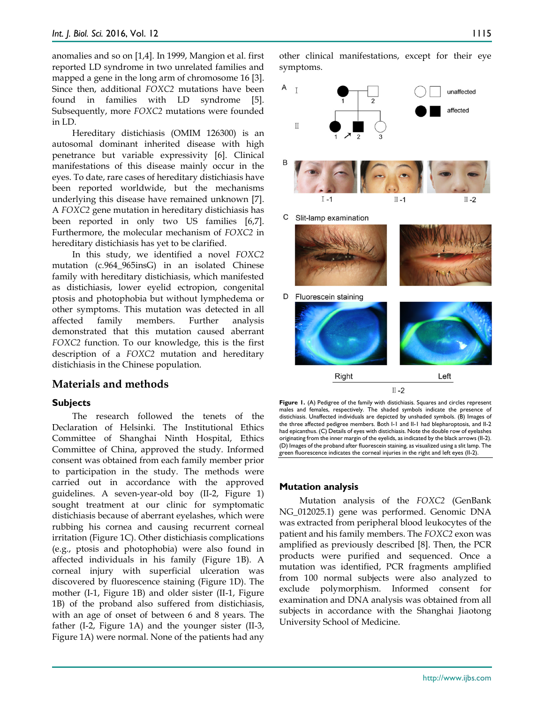anomalies and so on [1,4]. In 1999, Mangion et al. first reported LD syndrome in two unrelated families and mapped a gene in the long arm of chromosome 16 [3]. Since then, additional *FOXC2* mutations have been found in families with LD syndrome [5]. Subsequently, more *FOXC2* mutations were founded in LD.

Hereditary distichiasis (OMIM 126300) is an autosomal dominant inherited disease with high penetrance but variable expressivity [6]. Clinical manifestations of this disease mainly occur in the eyes. To date, rare cases of hereditary distichiasis have been reported worldwide, but the mechanisms underlying this disease have remained unknown [7]. A *FOXC2* gene mutation in hereditary distichiasis has been reported in only two US families [6,7]. Furthermore, the molecular mechanism of *FOXC2* in hereditary distichiasis has yet to be clarified.

In this study, we identified a novel *FOXC2* mutation (c.964\_965insG) in an isolated Chinese family with hereditary distichiasis, which manifested as distichiasis, lower eyelid ectropion, congenital ptosis and photophobia but without lymphedema or other symptoms. This mutation was detected in all affected family members. Further analysis demonstrated that this mutation caused aberrant *FOXC2* function. To our knowledge, this is the first description of a *FOXC2* mutation and hereditary distichiasis in the Chinese population.

## **Materials and methods**

#### **Subjects**

The research followed the tenets of the Declaration of Helsinki. The Institutional Ethics Committee of Shanghai Ninth Hospital, Ethics Committee of China, approved the study. Informed consent was obtained from each family member prior to participation in the study. The methods were carried out in accordance with the approved guidelines. A seven-year-old boy (II-2, Figure 1) sought treatment at our clinic for symptomatic distichiasis because of aberrant eyelashes, which were rubbing his cornea and causing recurrent corneal irritation (Figure 1C). Other distichiasis complications (e.g., ptosis and photophobia) were also found in affected individuals in his family (Figure 1B). A corneal injury with superficial ulceration was discovered by fluorescence staining (Figure 1D). The mother (I-1, Figure 1B) and older sister (II-1, Figure 1B) of the proband also suffered from distichiasis, with an age of onset of between 6 and 8 years. The father (I-2, Figure 1A) and the younger sister (II-3, Figure 1A) were normal. None of the patients had any

other clinical manifestations, except for their eye symptoms.



Figure 1. (A) Pedigree of the family with distichiasis. Squares and circles represent males and females, respectively. The shaded symbols indicate the presence of distichiasis. Unaffected individuals are depicted by unshaded symbols. (B) Images of the three affected pedigree members. Both I-1 and II-1 had blepharoptosis, and II-2 had epicanthus. (C) Details of eyes with distichiasis. Note the double row of eyelashes originating from the inner margin of the eyelids, as indicated by the black arrows (II-2). (D) Images of the proband after fluorescein staining, as visualized using a slit lamp. The green fluorescence indicates the corneal injuries in the right and left eyes (II-2).

#### **Mutation analysis**

Mutation analysis of the *FOXC2* (GenBank NG\_012025.1) gene was performed. Genomic DNA was extracted from peripheral blood leukocytes of the patient and his family members. The *FOXC2* exon was amplified as previously described [8]. Then, the PCR products were purified and sequenced. Once a mutation was identified, PCR fragments amplified from 100 normal subjects were also analyzed to exclude polymorphism. Informed consent for examination and DNA analysis was obtained from all subjects in accordance with the Shanghai Jiaotong University School of Medicine.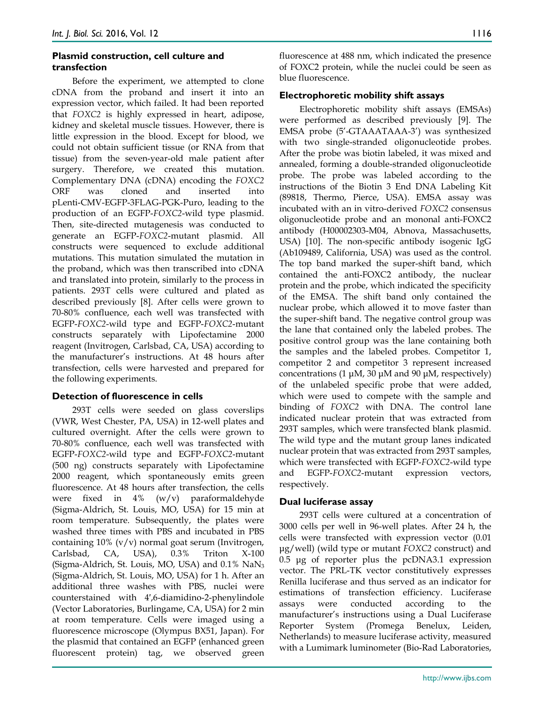# **Plasmid construction, cell culture and transfection**

Before the experiment, we attempted to clone cDNA from the proband and insert it into an expression vector, which failed. It had been reported that *FOXC2* is highly expressed in heart, adipose, kidney and skeletal muscle tissues. However, there is little expression in the blood. Except for blood, we could not obtain sufficient tissue (or RNA from that tissue) from the seven-year-old male patient after surgery. Therefore, we created this mutation. Complementary DNA (cDNA) encoding the *FOXC2* ORF was cloned and inserted into pLenti-CMV-EGFP-3FLAG-PGK-Puro, leading to the production of an EGFP-*FOXC2*-wild type plasmid. Then, site-directed mutagenesis was conducted to generate an EGFP-*FOXC2*-mutant plasmid. All constructs were sequenced to exclude additional mutations. This mutation simulated the mutation in the proband, which was then transcribed into cDNA and translated into protein, similarly to the process in patients. 293T cells were cultured and plated as described previously [8]. After cells were grown to 70-80% confluence, each well was transfected with EGFP-*FOXC2*-wild type and EGFP-*FOXC2*-mutant constructs separately with Lipofectamine 2000 reagent (Invitrogen, Carlsbad, CA, USA) according to the manufacturer's instructions. At 48 hours after transfection, cells were harvested and prepared for the following experiments.

## **Detection of fluorescence in cells**

293T cells were seeded on glass coverslips (VWR, West Chester, PA, USA) in 12-well plates and cultured overnight. After the cells were grown to 70-80% confluence, each well was transfected with EGFP-*FOXC2*-wild type and EGFP-*FOXC2*-mutant (500 ng) constructs separately with Lipofectamine 2000 reagent, which spontaneously emits green fluorescence. At 48 hours after transfection, the cells were fixed in  $4\%$  (w/v) paraformaldehyde (Sigma-Aldrich, St. Louis, MO, USA) for 15 min at room temperature. Subsequently, the plates were washed three times with PBS and incubated in PBS containing 10% (v/v) normal goat serum (Invitrogen, Carlsbad, CA, USA), 0.3% Triton X-100 (Sigma-Aldrich, St. Louis, MO, USA) and 0.1% NaN3 (Sigma-Aldrich, St. Louis, MO, USA) for 1 h. After an additional three washes with PBS, nuclei were counterstained with 4′,6-diamidino-2-phenylindole (Vector Laboratories, Burlingame, CA, USA) for 2 min at room temperature. Cells were imaged using a fluorescence microscope (Olympus BX51, Japan). For the plasmid that contained an EGFP (enhanced green fluorescent protein) tag, we observed green

fluorescence at 488 nm, which indicated the presence of FOXC2 protein, while the nuclei could be seen as blue fluorescence.

## **Electrophoretic mobility shift assays**

Electrophoretic mobility shift assays (EMSAs) were performed as described previously [9]. The EMSA probe (5'-GTAAATAAA-3') was synthesized with two single-stranded oligonucleotide probes. After the probe was biotin labeled, it was mixed and annealed, forming a double-stranded oligonucleotide probe. The probe was labeled according to the instructions of the Biotin 3 End DNA Labeling Kit (89818, Thermo, Pierce, USA). EMSA assay was incubated with an in vitro-derived *FOXC2* consensus oligonucleotide probe and an mononal anti-FOXC2 antibody (H00002303-M04, Abnova, Massachusetts, USA) [10]. The non-specific antibody isogenic IgG (Ab109489, California, USA) was used as the control. The top band marked the super-shift band, which contained the anti-FOXC2 antibody, the nuclear protein and the probe, which indicated the specificity of the EMSA. The shift band only contained the nuclear probe, which allowed it to move faster than the super-shift band. The negative control group was the lane that contained only the labeled probes. The positive control group was the lane containing both the samples and the labeled probes. Competitor 1, competitor 2 and competitor 3 represent increased concentrations (1 μM, 30 μM and 90 μM, respectively) of the unlabeled specific probe that were added, which were used to compete with the sample and binding of *FOXC2* with DNA. The control lane indicated nuclear protein that was extracted from 293T samples, which were transfected blank plasmid. The wild type and the mutant group lanes indicated nuclear protein that was extracted from 293T samples, which were transfected with EGFP-*FOXC2*-wild type and EGFP-*FOXC2*-mutant expression vectors, respectively.

## **Dual luciferase assay**

293T cells were cultured at a concentration of 3000 cells per well in 96-well plates. After 24 h, the cells were transfected with expression vector (0.01 μg/well) (wild type or mutant *FOXC2* construct) and 0.5 μg of reporter plus the pcDNA3.1 expression vector. The PRL-TK vector constitutively expresses Renilla luciferase and thus served as an indicator for estimations of transfection efficiency. Luciferase assays were conducted according to the manufacturer's instructions using a Dual Luciferase Reporter System (Promega Benelux, Leiden, Netherlands) to measure luciferase activity, measured with a Lumimark luminometer (Bio-Rad Laboratories,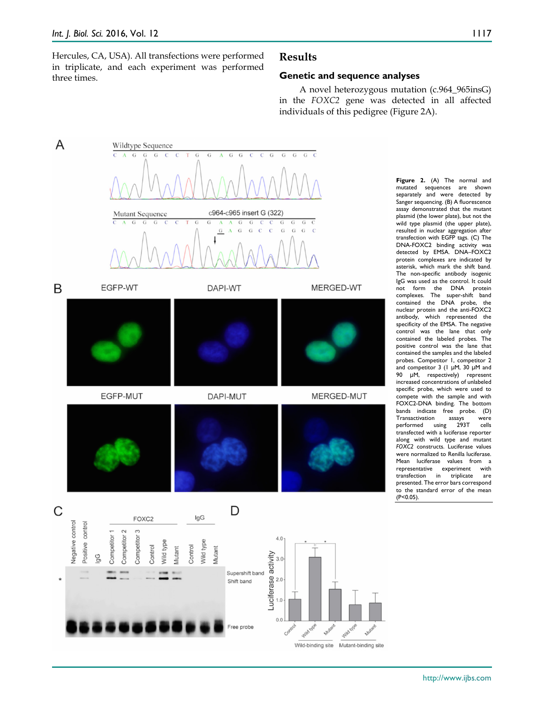Hercules, CA, USA). All transfections were performed in triplicate, and each experiment was performed three times.

## **Results**

#### **Genetic and sequence analyses**

A novel heterozygous mutation (c.964\_965insG) in the *FOXC2* gene was detected in all affected individuals of this pedigree (Figure 2A).



**Figure 2.** (A) The normal and mutated sequences are shown separately and were detected by Sanger sequencing. (B) A fluorescence assay demonstrated that the mutant plasmid (the lower plate), but not the wild type plasmid (the upper plate), resulted in nuclear aggregation after transfection with EGFP tags. (C) The DNA-FOXC2 binding activity was detected by EMSA. DNA–FOXC2 protein complexes are indicated by asterisk, which mark the shift band. The non-specific antibody isogenic IgG was used as the control. It could not form the DNA protein complexes. The super-shift band contained the DNA probe, the nuclear protein and the anti-FOXC2 antibody, which represented the specificity of the EMSA. The negative control was the lane that only contained the labeled probes. The positive control was the lane that contained the samples and the labeled probes. Competitor 1, competitor 2 and competitor 3 (1 μM, 30 μM and 90 μM, respectively) represent increased concentrations of unlabeled specific probe, which were used to compete with the sample and with FOXC2-DNA binding. The bottom bands indicate free probe. (D) Transactivation assays were<br>performed using 293T cells  $using$  293T transfected with a luciferase reporter along with wild type and mutant *FOXC2* constructs. Luciferase values were normalized to Renilla luciferase. Mean luciferase values from a representative experiment with<br>transfection in triplicate are transfection in triplicate presented. The error bars correspond to the standard error of the mean (P<0.05).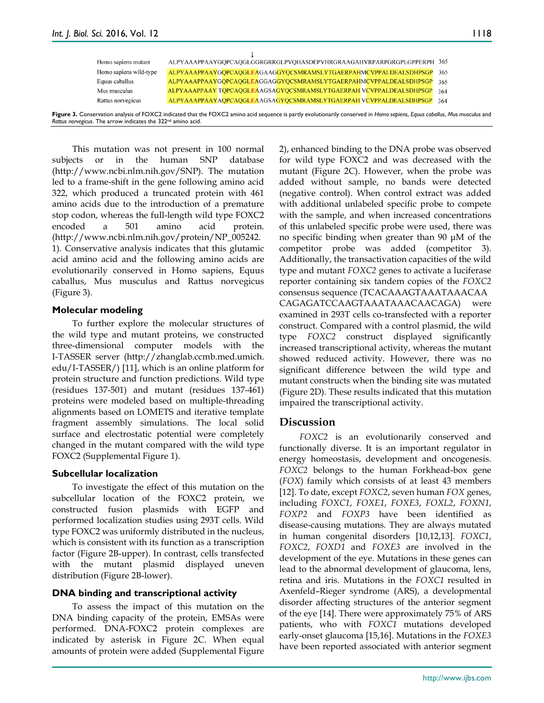| Homo sapiens mutant                                                                                                                                                        |  | ALPYAAAPPAAYGOPCAOGLGGRGRRGLPVOHASDEPVHRGRAAGAHVRPARPGRGPLGPPERPH 365 |  |     |
|----------------------------------------------------------------------------------------------------------------------------------------------------------------------------|--|-----------------------------------------------------------------------|--|-----|
| Homo sapiens wild-type                                                                                                                                                     |  | ALPYAAAPPAAYGQPCAQGLEAGAAGGYQCSMRAMSLYTGAERPAHMCVPPALDEALSDHPSGP 365  |  |     |
| Equus caballus                                                                                                                                                             |  | ALPYAAAPPAAYGOPCAOGLEAGGAGGYOCSMRAMSLYTGAERPAHMCVPPALDEALSDHPSGP      |  | 365 |
| Mus musculus                                                                                                                                                               |  | ALPYAAAPPAAY TOPCAOGLEAAGSAGYOCSMRAMSLYTGAERPAH VCVPPALDEALSDHPSGP    |  | 364 |
| Rattus norvegicus                                                                                                                                                          |  | ALPYAAAPPAAYAOPCAOGLEAAGSAGYOCSMRAMSLYTGAERPAH VCVPPALDEALSDHPSGP 364 |  |     |
| Figure 3. Conservation analysis of FOXC2 indicated that the FOXC2 amino acid sequence is partly evolutionarily conserved in Homo sapiens, Equus caballus, Mus musculus and |  |                                                                       |  |     |

Rattus norvegicus. The arrow indicates the 322<sup>nd</sup> amino acid. This mutation was not present in 100 normal

subjects or in the human SNP database (http://www.ncbi.nlm.nih.gov/SNP). The mutation led to a frame-shift in the gene following amino acid 322, which produced a truncated protein with 461 amino acids due to the introduction of a premature stop codon, whereas the full-length wild type FOXC2 encoded a 501 amino acid protein. (http://www.ncbi.nlm.nih.gov/protein/NP\_005242. 1). Conservative analysis indicates that this glutamic acid amino acid and the following amino acids are evolutionarily conserved in Homo sapiens, Equus caballus, Mus musculus and Rattus norvegicus (Figure 3).

## **Molecular modeling**

To further explore the molecular structures of the wild type and mutant proteins, we constructed three-dimensional computer models with the I-TASSER server (http://zhanglab.ccmb.med.umich. edu/I-TASSER/) [11], which is an online platform for protein structure and function predictions. Wild type (residues 137-501) and mutant (residues 137-461) proteins were modeled based on multiple-threading alignments based on LOMETS and iterative template fragment assembly simulations. The local solid surface and electrostatic potential were completely changed in the mutant compared with the wild type FOXC2 (Supplemental Figure 1).

# **Subcellular localization**

To investigate the effect of this mutation on the subcellular location of the FOXC2 protein, we constructed fusion plasmids with EGFP and performed localization studies using 293T cells. Wild type FOXC2 was uniformly distributed in the nucleus, which is consistent with its function as a transcription factor (Figure 2B-upper). In contrast, cells transfected with the mutant plasmid displayed uneven distribution (Figure 2B-lower).

# **DNA binding and transcriptional activity**

To assess the impact of this mutation on the DNA binding capacity of the protein, EMSAs were performed. DNA-FOXC2 protein complexes are indicated by asterisk in Figure 2C. When equal amounts of protein were added (Supplemental Figure 2), enhanced binding to the DNA probe was observed for wild type FOXC2 and was decreased with the mutant (Figure 2C). However, when the probe was added without sample, no bands were detected (negative control). When control extract was added with additional unlabeled specific probe to compete with the sample, and when increased concentrations of this unlabeled specific probe were used, there was no specific binding when greater than 90 μM of the competitor probe was added (competitor 3). Additionally, the transactivation capacities of the wild type and mutant *FOXC2* genes to activate a luciferase reporter containing six tandem copies of the *FOXC2* consensus sequence (TCACAAAGTAAATAAACAA CAGAGATCCAAGTAAATAAACAACAGA) were examined in 293T cells co-transfected with a reporter construct. Compared with a control plasmid, the wild type *FOXC2* construct displayed significantly increased transcriptional activity, whereas the mutant showed reduced activity. However, there was no significant difference between the wild type and mutant constructs when the binding site was mutated (Figure 2D). These results indicated that this mutation impaired the transcriptional activity.

# **Discussion**

*FOXC2* is an evolutionarily conserved and functionally diverse. It is an important regulator in energy homeostasis, development and oncogenesis. *FOXC2* belongs to the human Forkhead-box gene (*FOX*) family which consists of at least 43 members [12]. To date, except *FOXC2*, seven human *FOX* genes, including *FOXC1*, *FOXE1*, *FOXE3*, *FOXL2*, *FOXN1*, *FOXP2* and *FOXP3* have been identified as disease-causing mutations*.* They are always mutated in human congenital disorders [10,12,13]. *FOXC1*, *FOXC2*, *FOXD1* and *FOXE3* are involved in the development of the eye. Mutations in these genes can lead to the abnormal development of glaucoma, lens, retina and iris. Mutations in the *FOXC1* resulted in Axenfeld–Rieger syndrome (ARS), a developmental disorder affecting structures of the anterior segment of the eye [14]. There were approximately 75% of ARS patients, who with *FOXC1* mutations developed early-onset glaucoma [15,16]. Mutations in the *FOXE3* have been reported associated with anterior segment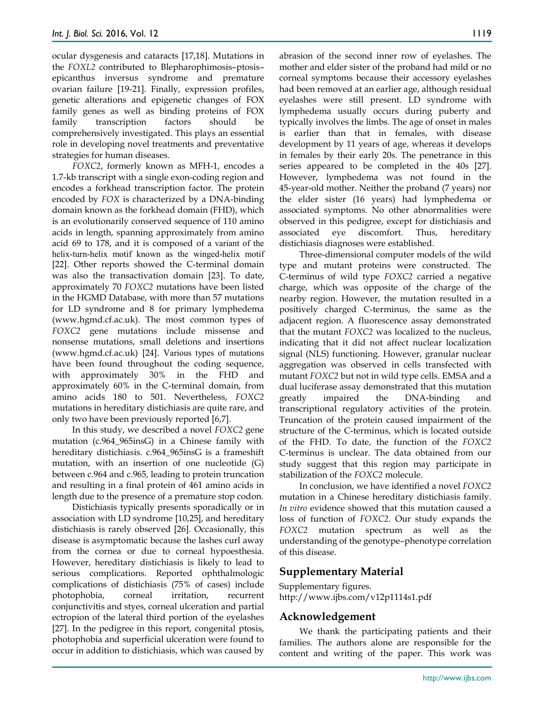ocular dysgenesis and cataracts [17,18]. Mutations in the *FOXL2* contributed to Blepharophimosis–ptosis– epicanthus inversus syndrome and premature ovarian failure [19-21]. Finally, expression profiles, genetic alterations and epigenetic changes of FOX family genes as well as binding proteins of FOX family transcription factors should be comprehensively investigated. This plays an essential role in developing novel treatments and preventative strategies for human diseases.

*FOXC2*, formerly known as MFH-1, encodes a 1.7-kb transcript with a single exon-coding region and encodes a forkhead transcription factor. The protein encoded by *FOX* is characterized by a DNA-binding domain known as the forkhead domain (FHD), which is an evolutionarily conserved sequence of 110 amino acids in length, spanning approximately from amino acid 69 to 178, and it is composed of a variant of the helix-turn-helix motif known as the winged-helix motif [22]. Other reports showed the C-terminal domain was also the transactivation domain [23]. To date, approximately 70 *FOXC2* mutations have been listed in the HGMD Database, with more than 57 mutations for LD syndrome and 8 for primary lymphedema (www.hgmd.cf.ac.uk). The most common types of *FOXC2* gene mutations include missense and nonsense mutations, small deletions and insertions (www.hgmd.cf.ac.uk) [24]. Various types of mutations have been found throughout the coding sequence, with approximately 30% in the FHD and approximately 60% in the C-terminal domain, from amino acids 180 to 501. Nevertheless, *FOXC2* mutations in hereditary distichiasis are quite rare, and only two have been previously reported [6,7].

In this study, we described a novel *FOXC2* gene mutation (c.964\_965insG) in a Chinese family with hereditary distichiasis. c.964\_965insG is a frameshift mutation, with an insertion of one nucleotide (G) between c.964 and c.965, leading to protein truncation and resulting in a final protein of 461 amino acids in length due to the presence of a premature stop codon.

Distichiasis typically presents sporadically or in association with LD syndrome [10,25], and hereditary distichiasis is rarely observed [26]. Occasionally, this disease is asymptomatic because the lashes curl away from the cornea or due to corneal hypoesthesia. However, hereditary distichiasis is likely to lead to serious complications. Reported ophthalmologic complications of distichiasis (75% of cases) include photophobia, corneal irritation, recurrent conjunctivitis and styes, corneal ulceration and partial ectropion of the lateral third portion of the eyelashes [27]. In the pedigree in this report, congenital ptosis, photophobia and superficial ulceration were found to occur in addition to distichiasis, which was caused by

abrasion of the second inner row of eyelashes. The mother and elder sister of the proband had mild or no corneal symptoms because their accessory eyelashes had been removed at an earlier age, although residual eyelashes were still present. LD syndrome with lymphedema usually occurs during puberty and typically involves the limbs. The age of onset in males is earlier than that in females, with disease development by 11 years of age, whereas it develops in females by their early 20s. The penetrance in this series appeared to be completed in the 40s [27]. However, lymphedema was not found in the 45-year-old mother. Neither the proband (7 years) nor the elder sister (16 years) had lymphedema or associated symptoms. No other abnormalities were observed in this pedigree, except for distichiasis and associated eye discomfort. Thus, hereditary distichiasis diagnoses were established.

Three-dimensional computer models of the wild type and mutant proteins were constructed. The C-terminus of wild type *FOXC2* carried a negative charge, which was opposite of the charge of the nearby region. However, the mutation resulted in a positively charged C-terminus, the same as the adjacent region. A fluorescence assay demonstrated that the mutant *FOXC2* was localized to the nucleus, indicating that it did not affect nuclear localization signal (NLS) functioning. However, granular nuclear aggregation was observed in cells transfected with mutant *FOXC2* but not in wild type cells. EMSA and a dual luciferase assay demonstrated that this mutation greatly impaired the DNA-binding and transcriptional regulatory activities of the protein. Truncation of the protein caused impairment of the structure of the C-terminus, which is located outside of the FHD. To date, the function of the *FOXC2* C-terminus is unclear. The data obtained from our study suggest that this region may participate in stabilization of the *FOXC2* molecule.

In conclusion, we have identified a novel *FOXC2* mutation in a Chinese hereditary distichiasis family. *In vitro* evidence showed that this mutation caused a loss of function of *FOXC2*. Our study expands the *FOXC2* mutation spectrum as well as the understanding of the genotype–phenotype correlation of this disease.

# **Supplementary Material**

Supplementary figures. http://www.ijbs.com/v12p1114s1.pdf

## **Acknowledgement**

We thank the participating patients and their families. The authors alone are responsible for the content and writing of the paper. This work was